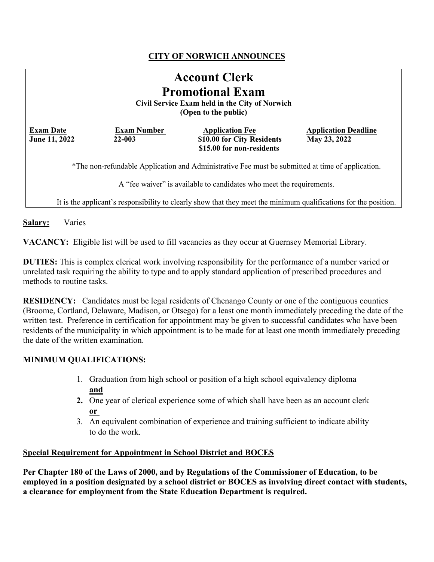# **CITY OF NORWICH ANNOUNCES**

| <b>Account Clerk</b><br><b>Promotional Exam</b><br>Civil Service Exam held in the City of Norwich<br>(Open to the public) |                                  |                                                                                   |                                             |
|---------------------------------------------------------------------------------------------------------------------------|----------------------------------|-----------------------------------------------------------------------------------|---------------------------------------------|
| <b>Exam Date</b><br>June 11, 2022                                                                                         | <b>Exam Number</b><br>$22 - 003$ | <b>Application Fee</b><br>\$10.00 for City Residents<br>\$15.00 for non-residents | <b>Application Deadline</b><br>May 23, 2022 |
| *The non-refundable Application and Administrative Fee must be submitted at time of application.                          |                                  |                                                                                   |                                             |
| A "fee waiver" is available to candidates who meet the requirements.                                                      |                                  |                                                                                   |                                             |
| It is the applicant's responsibility to clearly show that they meet the minimum qualifications for the position.          |                                  |                                                                                   |                                             |

**Salary:** Varies

**VACANCY:** Eligible list will be used to fill vacancies as they occur at Guernsey Memorial Library.

**DUTIES:** This is complex clerical work involving responsibility for the performance of a number varied or unrelated task requiring the ability to type and to apply standard application of prescribed procedures and methods to routine tasks.

**RESIDENCY:** Candidates must be legal residents of Chenango County or one of the contiguous counties (Broome, Cortland, Delaware, Madison, or Otsego) for a least one month immediately preceding the date of the written test. Preference in certification for appointment may be given to successful candidates who have been residents of the municipality in which appointment is to be made for at least one month immediately preceding the date of the written examination.

### **MINIMUM QUALIFICATIONS:**

- 1. Graduation from high school or position of a high school equivalency diploma **and**
- **2.** One year of clerical experience some of which shall have been as an account clerk **or**
- 3. An equivalent combination of experience and training sufficient to indicate ability to do the work.

#### **Special Requirement for Appointment in School District and BOCES**

**Per Chapter 180 of the Laws of 2000, and by Regulations of the Commissioner of Education, to be employed in a position designated by a school district or BOCES as involving direct contact with students, a clearance for employment from the State Education Department is required.**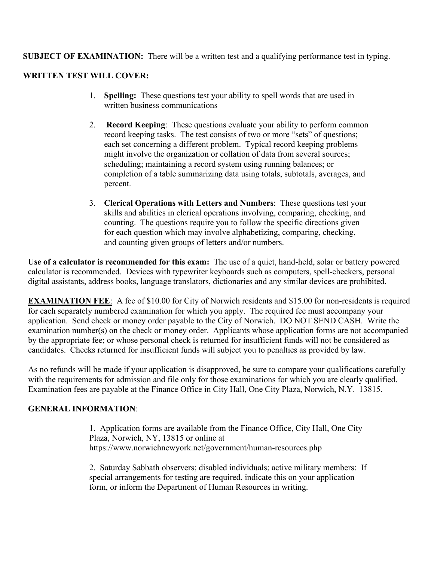**SUBJECT OF EXAMINATION:** There will be a written test and a qualifying performance test in typing.

## **WRITTEN TEST WILL COVER:**

- 1. **Spelling:** These questions test your ability to spell words that are used in written business communications
- 2. **Record Keeping**: These questions evaluate your ability to perform common record keeping tasks. The test consists of two or more "sets" of questions; each set concerning a different problem. Typical record keeping problems might involve the organization or collation of data from several sources; scheduling; maintaining a record system using running balances; or completion of a table summarizing data using totals, subtotals, averages, and percent.
- 3. **Clerical Operations with Letters and Numbers**: These questions test your skills and abilities in clerical operations involving, comparing, checking, and counting. The questions require you to follow the specific directions given for each question which may involve alphabetizing, comparing, checking, and counting given groups of letters and/or numbers.

**Use of a calculator is recommended for this exam:** The use of a quiet, hand-held, solar or battery powered calculator is recommended. Devices with typewriter keyboards such as computers, spell-checkers, personal digital assistants, address books, language translators, dictionaries and any similar devices are prohibited.

**EXAMINATION FEE**: A fee of \$10.00 for City of Norwich residents and \$15.00 for non-residents is required for each separately numbered examination for which you apply. The required fee must accompany your application. Send check or money order payable to the City of Norwich. DO NOT SEND CASH. Write the examination number(s) on the check or money order. Applicants whose application forms are not accompanied by the appropriate fee; or whose personal check is returned for insufficient funds will not be considered as candidates. Checks returned for insufficient funds will subject you to penalties as provided by law.

As no refunds will be made if your application is disapproved, be sure to compare your qualifications carefully with the requirements for admission and file only for those examinations for which you are clearly qualified. Examination fees are payable at the Finance Office in City Hall, One City Plaza, Norwich, N.Y. 13815.

### **GENERAL INFORMATION**:

1. Application forms are available from the Finance Office, City Hall, One City Plaza, Norwich, NY, 13815 or online at https://www.norwichnewyork.net/government/human-resources.php

2. Saturday Sabbath observers; disabled individuals; active military members: If special arrangements for testing are required, indicate this on your application form, or inform the Department of Human Resources in writing.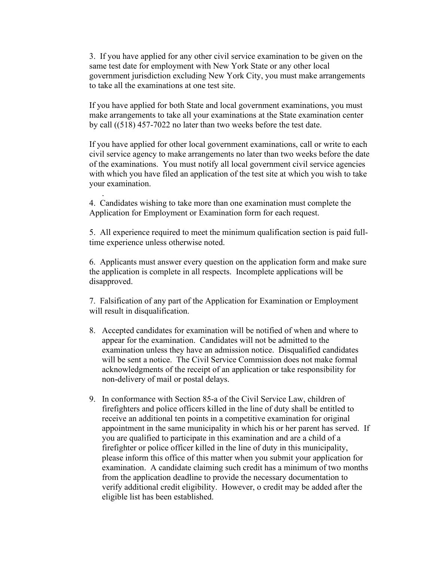3. If you have applied for any other civil service examination to be given on the same test date for employment with New York State or any other local government jurisdiction excluding New York City, you must make arrangements to take all the examinations at one test site.

If you have applied for both State and local government examinations, you must make arrangements to take all your examinations at the State examination center by call ((518) 457-7022 no later than two weeks before the test date.

If you have applied for other local government examinations, call or write to each civil service agency to make arrangements no later than two weeks before the date of the examinations. You must notify all local government civil service agencies with which you have filed an application of the test site at which you wish to take your examination.

4. Candidates wishing to take more than one examination must complete the Application for Employment or Examination form for each request.

.

5. All experience required to meet the minimum qualification section is paid fulltime experience unless otherwise noted.

6. Applicants must answer every question on the application form and make sure the application is complete in all respects. Incomplete applications will be disapproved.

7. Falsification of any part of the Application for Examination or Employment will result in disqualification.

- 8. Accepted candidates for examination will be notified of when and where to appear for the examination. Candidates will not be admitted to the examination unless they have an admission notice. Disqualified candidates will be sent a notice. The Civil Service Commission does not make formal acknowledgments of the receipt of an application or take responsibility for non-delivery of mail or postal delays.
- 9. In conformance with Section 85-a of the Civil Service Law, children of firefighters and police officers killed in the line of duty shall be entitled to receive an additional ten points in a competitive examination for original appointment in the same municipality in which his or her parent has served. If you are qualified to participate in this examination and are a child of a firefighter or police officer killed in the line of duty in this municipality, please inform this office of this matter when you submit your application for examination. A candidate claiming such credit has a minimum of two months from the application deadline to provide the necessary documentation to verify additional credit eligibility. However, o credit may be added after the eligible list has been established.